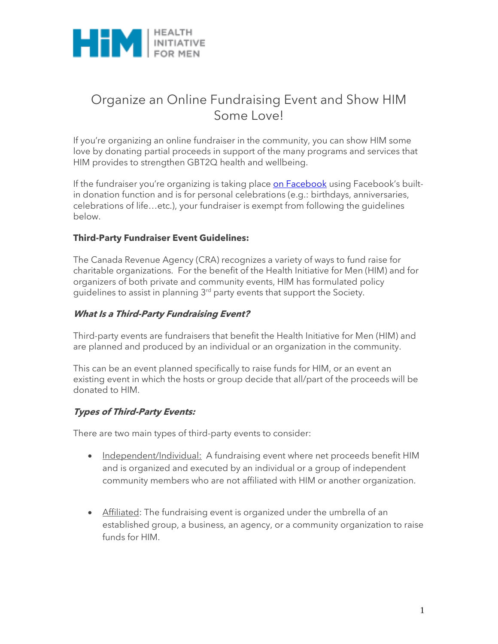

# Organize an Online Fundraising Event and Show HIM Some Love!

If you're organizing an online fundraiser in the community, you can show HIM some love by donating partial proceeds in support of the many programs and services that HIM provides to strengthen GBT2Q health and wellbeing.

If the fundraiser you're organizing is taking place [on Facebook](https://www.facebook.com/help/990087377765844) using Facebook's builtin donation function and is for personal celebrations (e.g.: birthdays, anniversaries, celebrations of life…etc.), your fundraiser is exempt from following the guidelines below.

## **Third-Party Fundraiser Event Guidelines:**

The Canada Revenue Agency (CRA) recognizes a variety of ways to fund raise for charitable organizations. For the benefit of the Health Initiative for Men (HIM) and for organizers of both private and community events, HIM has formulated policy guidelines to assist in planning 3<sup>rd</sup> party events that support the Society.

#### **What Is a Third-Party Fundraising Event?**

Third-party events are fundraisers that benefit the Health Initiative for Men (HIM) and are planned and produced by an individual or an organization in the community.

This can be an event planned specifically to raise funds for HIM, or an event an existing event in which the hosts or group decide that all/part of the proceeds will be donated to HIM.

## **Types of Third-Party Events:**

There are two main types of third-party events to consider:

- Independent/Individual: A fundraising event where net proceeds benefit HIM and is organized and executed by an individual or a group of independent community members who are not affiliated with HIM or another organization.
- Affiliated: The fundraising event is organized under the umbrella of an established group, a business, an agency, or a community organization to raise funds for HIM.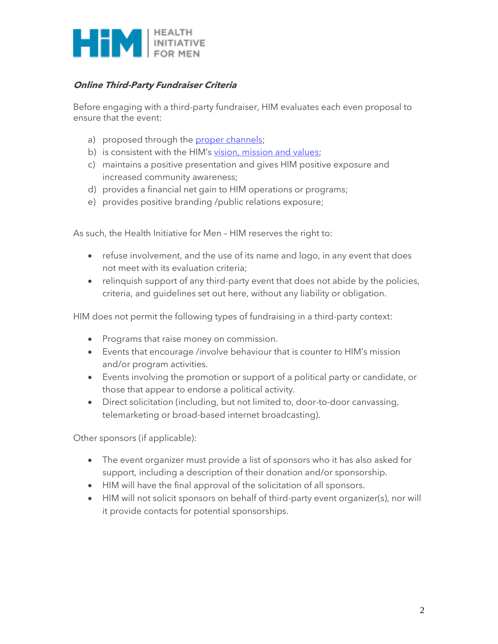

# **Online Third-Party Fundraiser Criteria**

Before engaging with a third-party fundraiser, HIM evaluates each even proposal to ensure that the event:

- a) proposed through the [proper channels;](mailto:office@checkhimout.ca)
- b) is consistent with the HIM's [vision, mission and values;](https://checkhimout.ca/about-him/#vision)
- c) maintains a positive presentation and gives HIM positive exposure and increased community awareness;
- d) provides a financial net gain to HIM operations or programs;
- e) provides positive branding /public relations exposure;

As such, the Health Initiative for Men – HIM reserves the right to:

- refuse involvement, and the use of its name and logo, in any event that does not meet with its evaluation criteria;
- relinquish support of any third-party event that does not abide by the policies, criteria, and guidelines set out here, without any liability or obligation.

HIM does not permit the following types of fundraising in a third-party context:

- Programs that raise money on commission.
- Events that encourage /involve behaviour that is counter to HIM's mission and/or program activities.
- Events involving the promotion or support of a political party or candidate, or those that appear to endorse a political activity.
- Direct solicitation (including, but not limited to, door-to-door canvassing, telemarketing or broad-based internet broadcasting).

Other sponsors (if applicable):

- The event organizer must provide a list of sponsors who it has also asked for support, including a description of their donation and/or sponsorship.
- HIM will have the final approval of the solicitation of all sponsors.
- HIM will not solicit sponsors on behalf of third-party event organizer(s), nor will it provide contacts for potential sponsorships.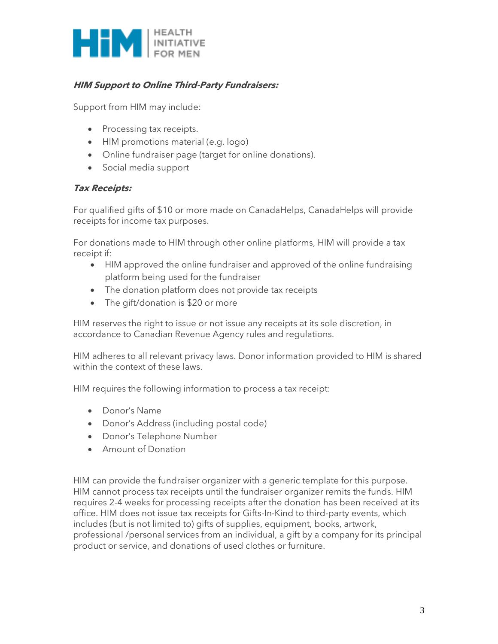

# **HIM Support to Online Third-Party Fundraisers:**

Support from HIM may include:

- Processing tax receipts.
- HIM promotions material (e.g. logo)
- Online fundraiser page (target for online donations).
- Social media support

#### **Tax Receipts:**

For qualified gifts of \$10 or more made on CanadaHelps, CanadaHelps will provide receipts for income tax purposes.

For donations made to HIM through other online platforms, HIM will provide a tax receipt if:

- HIM approved the online fundraiser and approved of the online fundraising platform being used for the fundraiser
- The donation platform does not provide tax receipts
- The gift/donation is \$20 or more

HIM reserves the right to issue or not issue any receipts at its sole discretion, in accordance to Canadian Revenue Agency rules and regulations.

HIM adheres to all relevant privacy laws. Donor information provided to HIM is shared within the context of these laws.

HIM requires the following information to process a tax receipt:

- Donor's Name
- Donor's Address (including postal code)
- Donor's Telephone Number
- Amount of Donation

HIM can provide the fundraiser organizer with a generic template for this purpose. HIM cannot process tax receipts until the fundraiser organizer remits the funds. HIM requires 2-4 weeks for processing receipts after the donation has been received at its office. HIM does not issue tax receipts for Gifts-In-Kind to third-party events, which includes (but is not limited to) gifts of supplies, equipment, books, artwork, professional /personal services from an individual, a gift by a company for its principal product or service, and donations of used clothes or furniture.